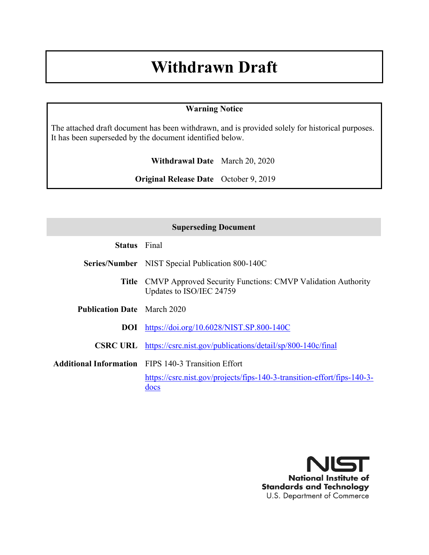# **Withdrawn Draft**

### **Warning Notice**

The attached draft document has been withdrawn, and is provided solely for historical purposes. It has been superseded by the document identified below.

**Withdrawal Date** March 20, 2020

**Original Release Date** October 9, 2019

| <b>Superseding Document</b>        |                                                                                                      |  |
|------------------------------------|------------------------------------------------------------------------------------------------------|--|
| <b>Status</b> Final                |                                                                                                      |  |
|                                    | <b>Series/Number</b> NIST Special Publication 800-140C                                               |  |
|                                    | <b>Title</b> CMVP Approved Security Functions: CMVP Validation Authority<br>Updates to ISO/IEC 24759 |  |
| <b>Publication Date</b> March 2020 |                                                                                                      |  |
|                                    | <b>DOI</b> https://doi.org/10.6028/NIST.SP.800-140C                                                  |  |
|                                    | <b>CSRC URL</b> https://csrc.nist.gov/publications/detail/sp/800-140c/final                          |  |
|                                    | <b>Additional Information</b> FIPS 140-3 Transition Effort                                           |  |
|                                    | https://csrc.nist.gov/projects/fips-140-3-transition-effort/fips-140-3-<br>docs                      |  |

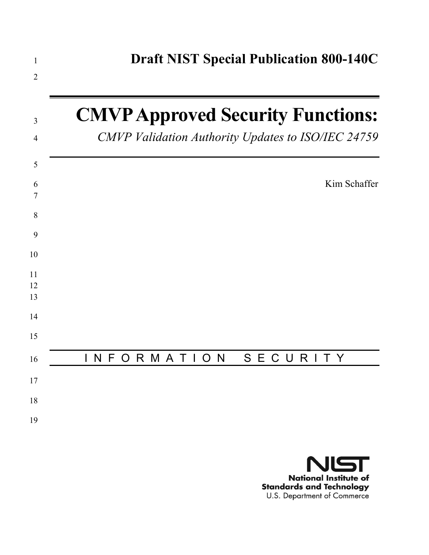| $\mathbf{1}$<br>$\overline{2}$ | <b>Draft NIST Special Publication 800-140C</b>                                                 |
|--------------------------------|------------------------------------------------------------------------------------------------|
| 3<br>$\overline{4}$            | <b>CMVP Approved Security Functions:</b><br>CMVP Validation Authority Updates to ISO/IEC 24759 |
| 5                              |                                                                                                |
| 6<br>7                         | Kim Schaffer                                                                                   |
| 8                              |                                                                                                |
| 9                              |                                                                                                |
| 10                             |                                                                                                |
| 11                             |                                                                                                |
| 12<br>13                       |                                                                                                |
| 14                             |                                                                                                |
| 15                             |                                                                                                |
| 16                             | FORMATION<br>SECURITY<br>N,                                                                    |
| $17\,$                         |                                                                                                |
| 18                             |                                                                                                |
| 19                             |                                                                                                |

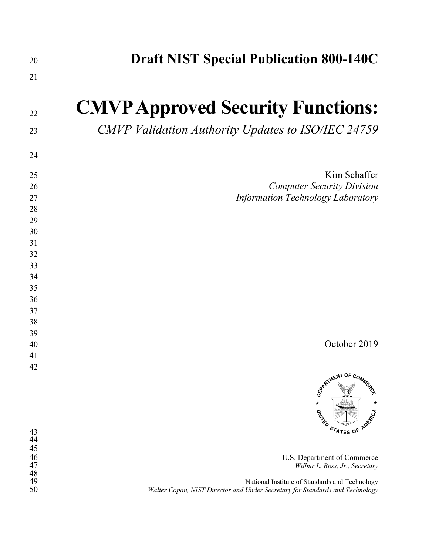| 20       | <b>Draft NIST Special Publication 800-140C</b>                               |
|----------|------------------------------------------------------------------------------|
| 21       |                                                                              |
|          | <b>CMVP Approved Security Functions:</b>                                     |
| 22       |                                                                              |
| 23       | CMVP Validation Authority Updates to ISO/IEC 24759                           |
| 24       |                                                                              |
| 25       | Kim Schaffer                                                                 |
| 26       | <b>Computer Security Division</b>                                            |
| 27       | Information Technology Laboratory                                            |
| 28       |                                                                              |
| 29       |                                                                              |
| 30       |                                                                              |
| 31       |                                                                              |
| 32       |                                                                              |
| 33       |                                                                              |
| 34       |                                                                              |
| 35       |                                                                              |
| 36<br>37 |                                                                              |
| 38       |                                                                              |
| 39       |                                                                              |
| 40       | October 2019                                                                 |
| 41       |                                                                              |
| 42       |                                                                              |
|          |                                                                              |
|          | SPRIMENT OF COMMISSION<br>$\star$<br>CANALO<br>STATES OF AMERICA             |
| 43       |                                                                              |
| 44       |                                                                              |
| 45<br>46 | U.S. Department of Commerce                                                  |
| 47       | Wilbur L. Ross, Jr., Secretary                                               |
| 48<br>49 | National Institute of Standards and Technology                               |
| 50       | Walter Copan, NIST Director and Under Secretary for Standards and Technology |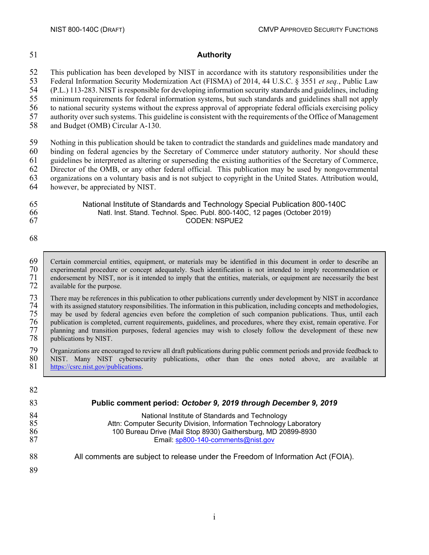#### 51 **Authority**

52 This publication has been developed by NIST in accordance with its statutory responsibilities under the<br>53 Federal Information Security Modernization Act (FISMA) of 2014, 44 U.S.C. § 3551 *et seq.*, Public Law 53 Federal Information Security Modernization Act (FISMA) of 2014, 44 U.S.C. § 3551 *et seq.*, Public Law 54 (P.L.) 113-283. NIST is responsible for developing information security standards and guidelines, including

55 minimum requirements for federal information systems, but such standards and guidelines shall not apply 56 to national security systems without the express approval of appropriate federal officials exercising policy

57 authority over such systems. This guideline is consistent with the requirements of the Office of Management

58 and Budget (OMB) Circular A-130.

59 Nothing in this publication should be taken to contradict the standards and guidelines made mandatory and<br>60 binding on federal agencies by the Secretary of Commerce under statutory authority. Nor should these binding on federal agencies by the Secretary of Commerce under statutory authority. Nor should these guidelines be interpreted as altering or superseding the existing authorities of the Secretary of Commerce, Director of the OMB, or any other federal official. This publication may be used by nongovernmental organizations on a voluntary basis and is not subject to copyright in the United States. Attribution would, however, be appreciated by NIST.

| 65         | National Institute of Standards and Technology Special Publication 800-140C |
|------------|-----------------------------------------------------------------------------|
| $\epsilon$ |                                                                             |

66 Natl. Inst. Stand. Technol. Spec. Publ. 800-140C, 12 pages (October 2019)

68

69 Certain commercial entities, equipment, or materials may be identified in this document in order to describe an experimental procedure or concept adequately. Such identification is not intended to imply recommendation o 20 experimental procedure or concept adequately. Such identification is not intended to imply recommendation or endorsement by NIST, nor is it intended to imply that the entities, materials, or equipment are necessarily th endorsement by NIST, nor is it intended to imply that the entities, materials, or equipment are necessarily the best available for the purpose.

CODEN: NSPUE2

There may be references in this publication to other publications currently under development by NIST in accordance with its assigned statutory responsibilities. The information in this publication, including concepts and with its assigned statutory responsibilities. The information in this publication, including concepts and methodologies, 75 may be used by federal agencies even before the completion of such companion publications. Thus, until each publication is completed, current requirements, guidelines, and procedures, where they exist, remain operative. 76 publication is completed, current requirements, guidelines, and procedures, where they exist, remain operative. For planning and transition purposes, federal agencies may wish to closely follow the development of these 77 planning and transition purposes, federal agencies may wish to closely follow the development of these new publications by NIST.

79 Organizations are encouraged to review all draft publications during public comment periods and provide feedback to 80 NIST. Many NIST cybersecurity publications, other than the ones noted above, are available at 80 NIST. Many NIST cybersecurity publications, other than the ones noted above, are available at 81 https://csrc.nist.gov/publications. [https://csrc.nist.gov/publications.](https://csrc.nist.gov/publications)

| 82 |                                                                                  |
|----|----------------------------------------------------------------------------------|
| 83 | Public comment period: October 9, 2019 through December 9, 2019                  |
| 84 | National Institute of Standards and Technology                                   |
| 85 | Attn: Computer Security Division, Information Technology Laboratory              |
| 86 | 100 Bureau Drive (Mail Stop 8930) Gaithersburg, MD 20899-8930                    |
| 87 | Email: sp800-140-comments@nist.gov                                               |
| 88 | All comments are subject to release under the Freedom of Information Act (FOIA). |
| 89 |                                                                                  |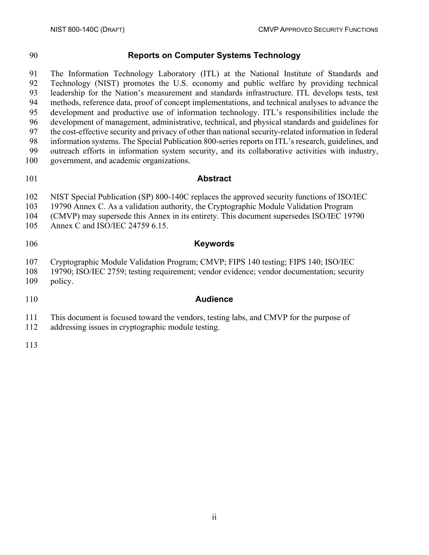# **Reports on Computer Systems Technology**

 The Information Technology Laboratory (ITL) at the National Institute of Standards and Technology (NIST) promotes the U.S. economy and public welfare by providing technical leadership for the Nation's measurement and standards infrastructure. ITL develops tests, test methods, reference data, proof of concept implementations, and technical analyses to advance the development and productive use of information technology. ITL's responsibilities include the development of management, administrative, technical, and physical standards and guidelines for the cost-effective security and privacy of other than national security-related information in federal information systems. The Special Publication 800-series reports on ITL's research, guidelines, and outreach efforts in information system security, and its collaborative activities with industry, government, and academic organizations.

#### **Abstract**

NIST Special Publication (SP) 800-140C replaces the approved security functions of ISO/IEC

19790 Annex C. As a validation authority, the Cryptographic Module Validation Program

(CMVP) may supersede this Annex in its entirety. This document supersedes ISO/IEC 19790

Annex C and ISO/IEC 24759 6.15.

## **Keywords**

- Cryptographic Module Validation Program; CMVP; FIPS 140 testing; FIPS 140; ISO/IEC
- 19790; ISO/IEC 2759; testing requirement; vendor evidence; vendor documentation; security policy.
- 

### **Audience**

This document is focused toward the vendors, testing labs, and CMVP for the purpose of

addressing issues in cryptographic module testing.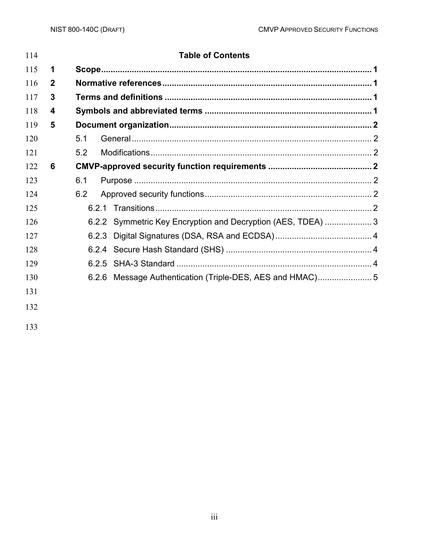| 114 |              | <b>Table of Contents</b>                                    |  |
|-----|--------------|-------------------------------------------------------------|--|
| 115 | 1            |                                                             |  |
| 116 | $\mathbf{2}$ |                                                             |  |
| 117 | 3            |                                                             |  |
| 118 | 4            |                                                             |  |
| 119 | 5            |                                                             |  |
| 120 |              | 5.1                                                         |  |
| 121 |              | 5.2                                                         |  |
| 122 | 6            |                                                             |  |
| 123 |              | 6.1                                                         |  |
| 124 |              | 6.2                                                         |  |
| 125 |              | 621                                                         |  |
| 126 |              | 6.2.2 Symmetric Key Encryption and Decryption (AES, TDEA) 3 |  |
| 127 |              | 6.2.3                                                       |  |
| 128 |              |                                                             |  |
| 129 |              |                                                             |  |
| 130 |              | 6.2.6                                                       |  |
| 131 |              |                                                             |  |
| 132 |              |                                                             |  |

133

 $\overline{\text{iii}}$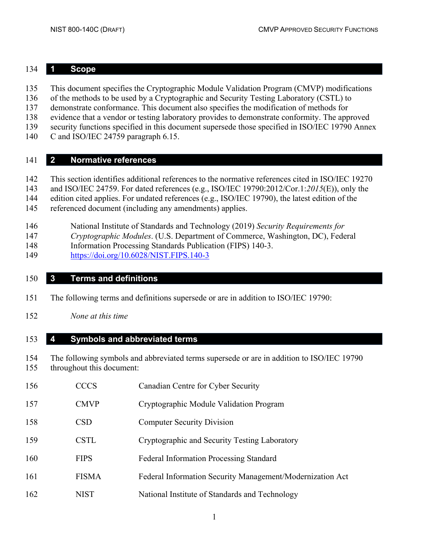### <span id="page-6-0"></span>**1 Scope**

This document specifies the Cryptographic Module Validation Program (CMVP) modifications

of the methods to be used by a Cryptographic and Security Testing Laboratory (CSTL) to

- demonstrate conformance. This document also specifies the modification of methods for
- evidence that a vendor or testing laboratory provides to demonstrate conformity. The approved
- security functions specified in this document supersede those specified in ISO/IEC 19790 Annex C and ISO/IEC 24759 paragraph 6.15.

# <span id="page-6-1"></span>**2 Normative references**

- This section identifies additional references to the normative references cited in ISO/IEC 19270
- and ISO/IEC 24759. For dated references (e.g., ISO/IEC 19790:2012/Cor.1:*2015*(E)), only the
- edition cited applies. For undated references (e.g., ISO/IEC 19790), the latest edition of the
- referenced document (including any amendments) applies.
- National Institute of Standards and Technology (2019) *Security Requirements for*
- *Cryptographic Modules*. (U.S. Department of Commerce, Washington, DC), Federal
- Information Processing Standards Publication (FIPS) 140-3.
- <https://doi.org/10.6028/NIST.FIPS.140-3>

# <span id="page-6-2"></span>**3 Terms and definitions**

- The following terms and definitions supersede or are in addition to ISO/IEC 19790:
- *None at this time*

# <span id="page-6-3"></span>**4 Symbols and abbreviated terms**

- The following symbols and abbreviated terms supersede or are in addition to ISO/IEC 19790
- throughout this document:

| 156 | CCCS         | Canadian Centre for Cyber Security                        |
|-----|--------------|-----------------------------------------------------------|
| 157 | <b>CMVP</b>  | Cryptographic Module Validation Program                   |
| 158 | CSD          | <b>Computer Security Division</b>                         |
| 159 | <b>CSTL</b>  | Cryptographic and Security Testing Laboratory             |
| 160 | <b>FIPS</b>  | <b>Federal Information Processing Standard</b>            |
| 161 | <b>FISMA</b> | Federal Information Security Management/Modernization Act |
| 162 | <b>NIST</b>  | National Institute of Standards and Technology            |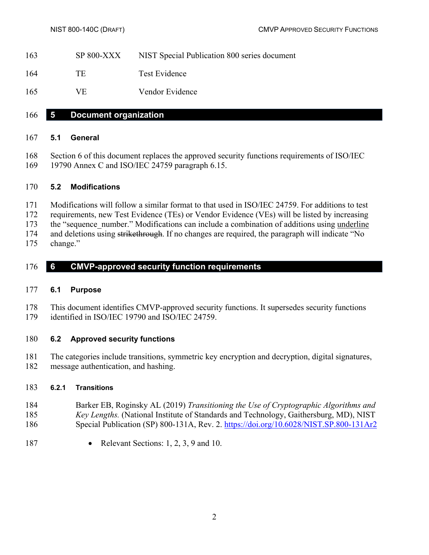SP 800-XXX NIST Special Publication 800 series document 164 TE Test Evidence VE Vendor Evidence

#### <span id="page-7-0"></span>**5 Document organization**

#### <span id="page-7-1"></span>**5.1 General**

- Section 6 of this document replaces the approved security functions requirements of ISO/IEC 19790 Annex C and ISO/IEC 24759 paragraph 6.15.
- <span id="page-7-2"></span>**5.2 Modifications**
- Modifications will follow a similar format to that used in ISO/IEC 24759. For additions to test

requirements, new Test Evidence (TEs) or Vendor Evidence (VEs) will be listed by increasing

the "sequence\_number." Modifications can include a combination of additions using underline

174 and deletions using strikethrough. If no changes are required, the paragraph will indicate "No

175 change."

#### <span id="page-7-3"></span>**6 CMVP-approved security function requirements**

#### <span id="page-7-4"></span>**6.1 Purpose**

- This document identifies CMVP-approved security functions. It supersedes security functions
- 179 identified in ISO/IEC 19790 and ISO/IEC 24759.

#### <span id="page-7-5"></span>**6.2 Approved security functions**

- The categories include transitions, symmetric key encryption and decryption, digital signatures,
- message authentication, and hashing.

#### <span id="page-7-6"></span>**6.2.1 Transitions**

- Barker EB, Roginsky AL (2019) *Transitioning the Use of Cryptographic Algorithms and Key Lengths.* (National Institute of Standards and Technology, Gaithersburg, MD), NIST Special Publication (SP) 800-131A, Rev. 2.<https://doi.org/10.6028/NIST.SP.800-131Ar2>
- 
- 187 Relevant Sections: 1, 2, 3, 9 and 10.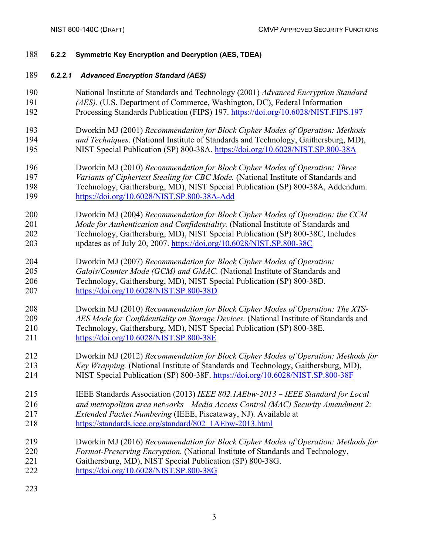- <span id="page-8-0"></span>**6.2.2 Symmetric Key Encryption and Decryption (AES, TDEA)**
- *6.2.2.1 Advanced Encryption Standard (AES)*
- National Institute of Standards and Technology (2001) *Advanced Encryption Standard (AES)*. (U.S. Department of Commerce, Washington, DC), Federal Information
- Processing Standards Publication (FIPS) 197.<https://doi.org/10.6028/NIST.FIPS.197>
- Dworkin MJ (2001) *Recommendation for Block Cipher Modes of Operation: Methods and Techniques*. (National Institute of Standards and Technology, Gaithersburg, MD), NIST Special Publication (SP) 800-38A.<https://doi.org/10.6028/NIST.SP.800-38A>
- Dworkin MJ (2010) *Recommendation for Block Cipher Modes of Operation: Three Variants of Ciphertext Stealing for CBC Mode.* (National Institute of Standards and Technology, Gaithersburg, MD), NIST Special Publication (SP) 800-38A, Addendum. <https://doi.org/10.6028/NIST.SP.800-38A-Add>
- Dworkin MJ (2004) *Recommendation for Block Cipher Modes of Operation: the CCM Mode for Authentication and Confidentiality.* (National Institute of Standards and Technology, Gaithersburg, MD), NIST Special Publication (SP) 800-38C, Includes updates as of July 20, 2007.<https://doi.org/10.6028/NIST.SP.800-38C>
- Dworkin MJ (2007) *Recommendation for Block Cipher Modes of Operation: Galois/Counter Mode (GCM) and GMAC.* (National Institute of Standards and Technology, Gaithersburg, MD), NIST Special Publication (SP) 800-38D. <https://doi.org/10.6028/NIST.SP.800-38D>
- Dworkin MJ (2010) *Recommendation for Block Cipher Modes of Operation: The XTS- AES Mode for Confidentiality on Storage Devices.* (National Institute of Standards and Technology, Gaithersburg, MD), NIST Special Publication (SP) 800-38E. <https://doi.org/10.6028/NIST.SP.800-38E>
- Dworkin MJ (2012) *Recommendation for Block Cipher Modes of Operation: Methods for Key Wrapping.* (National Institute of Standards and Technology, Gaithersburg, MD), NIST Special Publication (SP) 800-38F.<https://doi.org/10.6028/NIST.SP.800-38F>
- IEEE Standards Association (2013) *IEEE 802.1AEbw-2013 IEEE Standard for Local and metropolitan area networks—Media Access Control (MAC) Security Amendment 2: Extended Packet Numbering* (IEEE, Piscataway, NJ). Available at [https://standards.ieee.org/standard/802\\_1AEbw-2013.html](https://standards.ieee.org/standard/802_1AEbw-2013.html)
- Dworkin MJ (2016) *Recommendation for Block Cipher Modes of Operation: Methods for Format-Preserving Encryption.* (National Institute of Standards and Technology,
- Gaithersburg, MD), NIST Special Publication (SP) 800-38G.
- <https://doi.org/10.6028/NIST.SP.800-38G>
-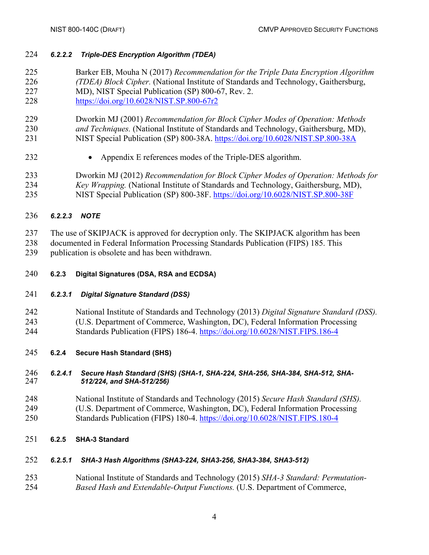# *6.2.2.2 Triple-DES Encryption Algorithm (TDEA)*

 Barker EB, Mouha N (2017) *Recommendation for the Triple Data Encryption Algorithm (TDEA) Block Cipher.* (National Institute of Standards and Technology, Gaithersburg, MD), NIST Special Publication (SP) 800-67, Rev. 2. <https://doi.org/10.6028/NIST.SP.800-67r2>

#### Dworkin MJ (2001) *Recommendation for Block Cipher Modes of Operation: Methods and Techniques.* (National Institute of Standards and Technology, Gaithersburg, MD), NIST Special Publication (SP) 800-38A.<https://doi.org/10.6028/NIST.SP.800-38A>

- 232 Appendix E references modes of the Triple-DES algorithm.
- Dworkin MJ (2012) *Recommendation for Block Cipher Modes of Operation: Methods for Key Wrapping.* (National Institute of Standards and Technology, Gaithersburg, MD), NIST Special Publication (SP) 800-38F.<https://doi.org/10.6028/NIST.SP.800-38F>

## *6.2.2.3 NOTE*

The use of SKIPJACK is approved for decryption only. The SKIPJACK algorithm has been

- documented in Federal Information Processing Standards Publication (FIPS) 185. This
- publication is obsolete and has been withdrawn.
- <span id="page-9-0"></span>**6.2.3 Digital Signatures (DSA, RSA and ECDSA)**

# *6.2.3.1 Digital Signature Standard (DSS)*

- National Institute of Standards and Technology (2013) *Digital Signature Standard (DSS).*  (U.S. Department of Commerce, Washington, DC), Federal Information Processing 244 Standards Publication (FIPS) 186-4.<https://doi.org/10.6028/NIST.FIPS.186-4>
- <span id="page-9-1"></span>**6.2.4 Secure Hash Standard (SHS)**

#### *6.2.4.1 Secure Hash Standard (SHS) (SHA-1, SHA-224, SHA-256, SHA-384, SHA-512, SHA-512/224, and SHA-512/256)*

- National Institute of Standards and Technology (2015) *Secure Hash Standard (SHS).*  (U.S. Department of Commerce, Washington, DC), Federal Information Processing Standards Publication (FIPS) 180-4.<https://doi.org/10.6028/NIST.FIPS.180-4>
- <span id="page-9-2"></span>**6.2.5 SHA-3 Standard**

# *6.2.5.1 SHA-3 Hash Algorithms (SHA3-224, SHA3-256, SHA3-384, SHA3-512)*

 National Institute of Standards and Technology (2015) *SHA-3 Standard: Permutation-Based Hash and Extendable-Output Functions.* (U.S. Department of Commerce,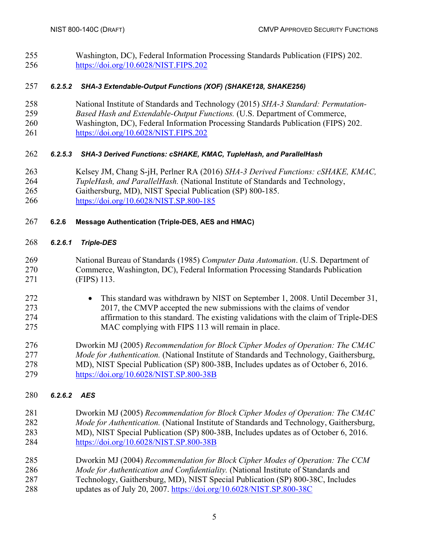Washington, DC), Federal Information Processing Standards Publication (FIPS) 202. <https://doi.org/10.6028/NIST.FIPS.202>

#### *6.2.5.2 SHA-3 Extendable-Output Functions (XOF) (SHAKE128, SHAKE256)*

- National Institute of Standards and Technology (2015) *SHA-3 Standard: Permutation-*
- *Based Hash and Extendable-Output Functions.* (U.S. Department of Commerce,
- Washington, DC), Federal Information Processing Standards Publication (FIPS) 202.
- <https://doi.org/10.6028/NIST.FIPS.202>

### *6.2.5.3 SHA-3 Derived Functions: cSHAKE, KMAC, TupleHash, and ParallelHash*

- Kelsey JM, Chang S-jH, Perlner RA (2016) *SHA-3 Derived Functions: cSHAKE, KMAC, TupleHash, and ParallelHash.* (National Institute of Standards and Technology, Gaithersburg, MD), NIST Special Publication (SP) 800-185.
- <https://doi.org/10.6028/NIST.SP.800-185>

### <span id="page-10-0"></span>**6.2.6 Message Authentication (Triple-DES, AES and HMAC)**

### *6.2.6.1 Triple-DES*

- National Bureau of Standards (1985) *Computer Data Automation*. (U.S. Department of Commerce, Washington, DC), Federal Information Processing Standards Publication (FIPS) 113.
- This standard was withdrawn by NIST on September 1, 2008. Until December 31, 2017, the CMVP accepted the new submissions with the claims of vendor affirmation to this standard. The existing validations with the claim of Triple-DES MAC complying with FIPS 113 will remain in place.
- Dworkin MJ (2005) *Recommendation for Block Cipher Modes of Operation: The CMAC Mode for Authentication.* (National Institute of Standards and Technology, Gaithersburg, MD), NIST Special Publication (SP) 800-38B, Includes updates as of October 6, 2016. <https://doi.org/10.6028/NIST.SP.800-38B>

### *6.2.6.2 AES*

- Dworkin MJ (2005) *Recommendation for Block Cipher Modes of Operation: The CMAC Mode for Authentication.* (National Institute of Standards and Technology, Gaithersburg, MD), NIST Special Publication (SP) 800-38B, Includes updates as of October 6, 2016. <https://doi.org/10.6028/NIST.SP.800-38B>
- Dworkin MJ (2004) *Recommendation for Block Cipher Modes of Operation: The CCM Mode for Authentication and Confidentiality.* (National Institute of Standards and Technology, Gaithersburg, MD), NIST Special Publication (SP) 800-38C, Includes
- updates as of July 20, 2007.<https://doi.org/10.6028/NIST.SP.800-38C>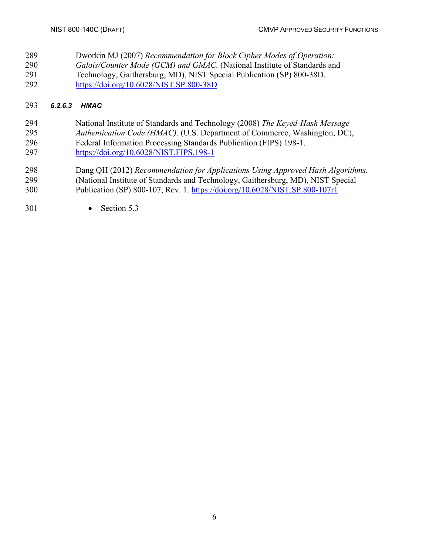- Dworkin MJ (2007) *Recommendation for Block Cipher Modes of Operation:*
- *Galois/Counter Mode (GCM) and GMAC.* (National Institute of Standards and
- Technology, Gaithersburg, MD), NIST Special Publication (SP) 800-38D.
- <https://doi.org/10.6028/NIST.SP.800-38D>

# *6.2.6.3 HMAC*

- National Institute of Standards and Technology (2008) *The Keyed-Hash Message Authentication Code (HMAC)*. (U.S. Department of Commerce, Washington, DC), Federal Information Processing Standards Publication (FIPS) 198-1.
- <https://doi.org/10.6028/NIST.FIPS.198-1>
- Dang QH (2012) *Recommendation for Applications Using Approved Hash Algorithms.*
- (National Institute of Standards and Technology, Gaithersburg, MD), NIST Special Publication (SP) 800-107, Rev. 1.<https://doi.org/10.6028/NIST.SP.800-107r1>
- Section 5.3